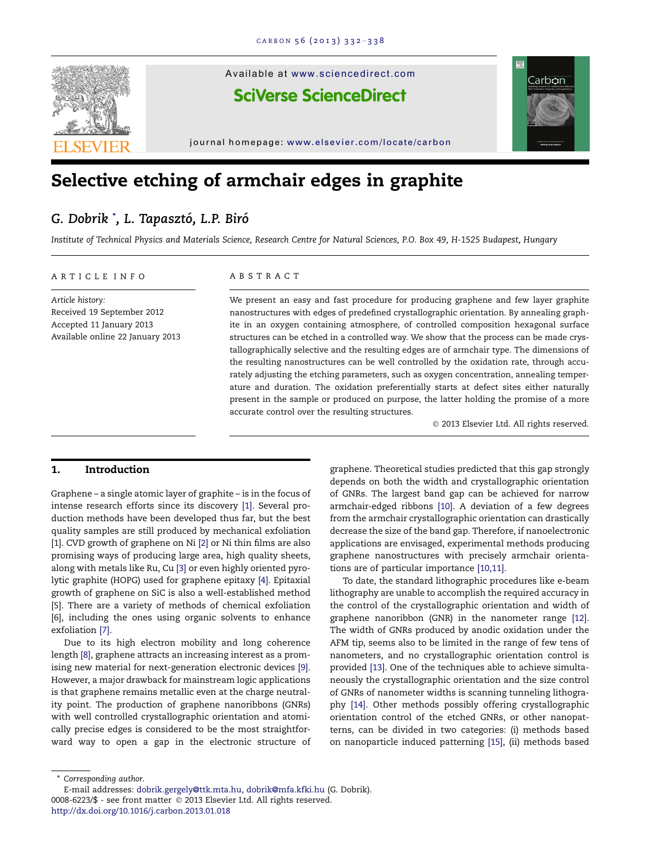

# Selective etching of armchair edges in graphite

# G. Dobrik ˚, L. Tapasztó, L.P. Biró

Institute of Technical Physics and Materials Science, Research Centre for Natural Sciences, P.O. Box 49, H-1525 Budapest, Hungary

#### ARTICLE INFO

Article history: Received 19 September 2012 Accepted 11 January 2013 Available online 22 January 2013

#### ABSTRACT

We present an easy and fast procedure for producing graphene and few layer graphite nanostructures with edges of predefined crystallographic orientation. By annealing graphite in an oxygen containing atmosphere, of controlled composition hexagonal surface structures can be etched in a controlled way. We show that the process can be made crystallographically selective and the resulting edges are of armchair type. The dimensions of the resulting nanostructures can be well controlled by the oxidation rate, through accurately adjusting the etching parameters, such as oxygen concentration, annealing temperature and duration. The oxidation preferentially starts at defect sites either naturally present in the sample or produced on purpose, the latter holding the promise of a more accurate control over the resulting structures.

© 2013 Elsevier Ltd. All rights reserved.

# 1. Introduction

Graphene – a single atomic layer of graphite – is in the focus of intense research efforts since its discovery [\[1\].](#page-5-0) Several production methods have been developed thus far, but the best quality samples are still produced by mechanical exfoliation [\[1\].](#page-5-0) CVD growth of graphene on Ni [\[2\]](#page-5-0) or Ni thin films are also promising ways of producing large area, high quality sheets, along with metals like Ru, Cu [\[3\]](#page-5-0) or even highly oriented pyrolytic graphite (HOPG) used for graphene epitaxy [\[4\]](#page-5-0). Epitaxial growth of graphene on SiC is also a well-established method [\[5\].](#page-5-0) There are a variety of methods of chemical exfoliation [\[6\],](#page-6-0) including the ones using organic solvents to enhance exfoliation [\[7\]](#page-6-0).

Due to its high electron mobility and long coherence length [\[8\],](#page-6-0) graphene attracts an increasing interest as a promising new material for next-generation electronic devices [\[9\]](#page-6-0). However, a major drawback for mainstream logic applications is that graphene remains metallic even at the charge neutrality point. The production of graphene nanoribbons (GNRs) with well controlled crystallographic orientation and atomically precise edges is considered to be the most straightforward way to open a gap in the electronic structure of graphene. Theoretical studies predicted that this gap strongly depends on both the width and crystallographic orientation of GNRs. The largest band gap can be achieved for narrow armchair-edged ribbons [\[10\]](#page-6-0). A deviation of a few degrees from the armchair crystallographic orientation can drastically decrease the size of the band gap. Therefore, if nanoelectronic applications are envisaged, experimental methods producing graphene nanostructures with precisely armchair orientations are of particular importance [\[10,11\].](#page-6-0)

To date, the standard lithographic procedures like e-beam lithography are unable to accomplish the required accuracy in the control of the crystallographic orientation and width of graphene nanoribbon (GNR) in the nanometer range [\[12\]](#page-6-0). The width of GNRs produced by anodic oxidation under the AFM tip, seems also to be limited in the range of few tens of nanometers, and no crystallographic orientation control is provided [\[13\].](#page-6-0) One of the techniques able to achieve simultaneously the crystallographic orientation and the size control of GNRs of nanometer widths is scanning tunneling lithography [\[14\]](#page-6-0). Other methods possibly offering crystallographic orientation control of the etched GNRs, or other nanopatterns, can be divided in two categories: (i) methods based on nanoparticle induced patterning [\[15\],](#page-6-0) (ii) methods based

\* Corresponding author.

<http://dx.doi.org/10.1016/j.carbon.2013.01.018>

<sup>0008-6223/\$ -</sup> see front matter © 2013 Elsevier Ltd. All rights reserved. E-mail addresses: [dobrik.gergely@ttk.mta.hu,](mailto:dobrik.gergely@ttk.mta.hu) [dobrik@mfa.kfki.hu](mailto:dobrik@mfa.kfki.hu) (G. Dobrik).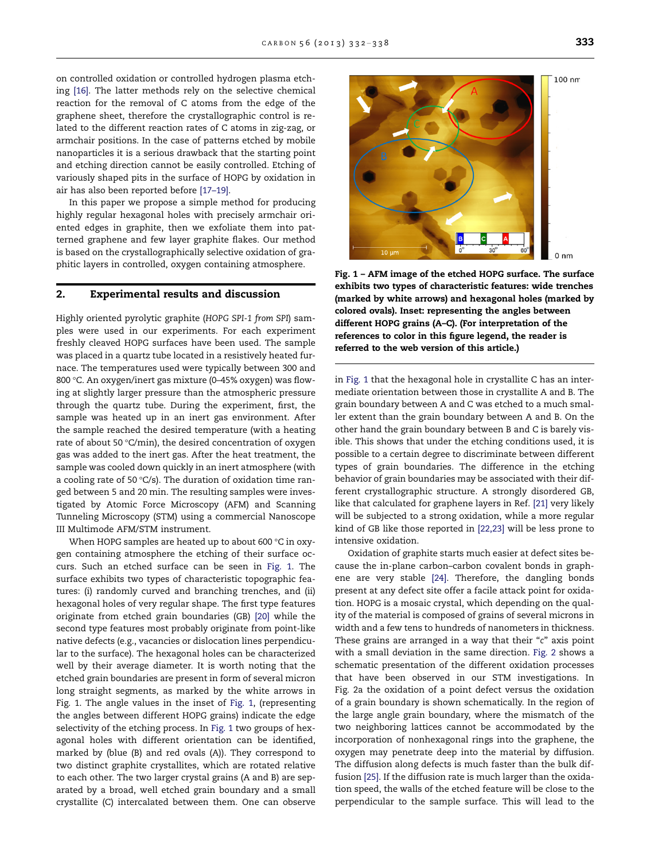<span id="page-1-0"></span>on controlled oxidation or controlled hydrogen plasma etching [\[16\].](#page-6-0) The latter methods rely on the selective chemical reaction for the removal of C atoms from the edge of the graphene sheet, therefore the crystallographic control is related to the different reaction rates of C atoms in zig-zag, or armchair positions. In the case of patterns etched by mobile nanoparticles it is a serious drawback that the starting point and etching direction cannot be easily controlled. Etching of variously shaped pits in the surface of HOPG by oxidation in air has also been reported before [\[17–19\].](#page-6-0)

In this paper we propose a simple method for producing highly regular hexagonal holes with precisely armchair oriented edges in graphite, then we exfoliate them into patterned graphene and few layer graphite flakes. Our method is based on the crystallographically selective oxidation of graphitic layers in controlled, oxygen containing atmosphere.

#### 2. Experimental results and discussion

Highly oriented pyrolytic graphite (HOPG SPI-1 from SPI) samples were used in our experiments. For each experiment freshly cleaved HOPG surfaces have been used. The sample was placed in a quartz tube located in a resistively heated furnace. The temperatures used were typically between 300 and 800 °C. An oxygen/inert gas mixture (0–45% oxygen) was flowing at slightly larger pressure than the atmospheric pressure through the quartz tube. During the experiment, first, the sample was heated up in an inert gas environment. After the sample reached the desired temperature (with a heating rate of about 50 $°C/min$ , the desired concentration of oxygen gas was added to the inert gas. After the heat treatment, the sample was cooled down quickly in an inert atmosphere (with a cooling rate of 50  $°C/s$ ). The duration of oxidation time ranged between 5 and 20 min. The resulting samples were investigated by Atomic Force Microscopy (AFM) and Scanning Tunneling Microscopy (STM) using a commercial Nanoscope III Multimode AFM/STM instrument.

When HOPG samples are heated up to about 600  $\degree$ C in oxygen containing atmosphere the etching of their surface occurs. Such an etched surface can be seen in Fig. 1. The surface exhibits two types of characteristic topographic features: (i) randomly curved and branching trenches, and (ii) hexagonal holes of very regular shape. The first type features originate from etched grain boundaries (GB) [\[20\]](#page-6-0) while the second type features most probably originate from point-like native defects (e.g., vacancies or dislocation lines perpendicular to the surface). The hexagonal holes can be characterized well by their average diameter. It is worth noting that the etched grain boundaries are present in form of several micron long straight segments, as marked by the white arrows in Fig. 1. The angle values in the inset of Fig. 1, (representing the angles between different HOPG grains) indicate the edge selectivity of the etching process. In Fig. 1 two groups of hexagonal holes with different orientation can be identified, marked by (blue (B) and red ovals (A)). They correspond to two distinct graphite crystallites, which are rotated relative to each other. The two larger crystal grains (A and B) are separated by a broad, well etched grain boundary and a small crystallite (C) intercalated between them. One can observe



Fig. 1 – AFM image of the etched HOPG surface. The surface exhibits two types of characteristic features: wide trenches (marked by white arrows) and hexagonal holes (marked by colored ovals). Inset: representing the angles between different HOPG grains (A–C). (For interpretation of the references to color in this figure legend, the reader is referred to the web version of this article.)

in Fig. 1 that the hexagonal hole in crystallite C has an intermediate orientation between those in crystallite A and B. The grain boundary between A and C was etched to a much smaller extent than the grain boundary between A and B. On the other hand the grain boundary between B and C is barely visible. This shows that under the etching conditions used, it is possible to a certain degree to discriminate between different types of grain boundaries. The difference in the etching behavior of grain boundaries may be associated with their different crystallographic structure. A strongly disordered GB, like that calculated for graphene layers in Ref. [\[21\]](#page-6-0) very likely will be subjected to a strong oxidation, while a more regular kind of GB like those reported in [\[22,23\]](#page-6-0) will be less prone to intensive oxidation.

Oxidation of graphite starts much easier at defect sites because the in-plane carbon–carbon covalent bonds in graphene are very stable [\[24\].](#page-6-0) Therefore, the dangling bonds present at any defect site offer a facile attack point for oxidation. HOPG is a mosaic crystal, which depending on the quality of the material is composed of grains of several microns in width and a few tens to hundreds of nanometers in thickness. These grains are arranged in a way that their "c" axis point with a small deviation in the same direction. [Fig. 2](#page-2-0) shows a schematic presentation of the different oxidation processes that have been observed in our STM investigations. In [Fig. 2](#page-2-0)a the oxidation of a point defect versus the oxidation of a grain boundary is shown schematically. In the region of the large angle grain boundary, where the mismatch of the two neighboring lattices cannot be accommodated by the incorporation of nonhexagonal rings into the graphene, the oxygen may penetrate deep into the material by diffusion. The diffusion along defects is much faster than the bulk diffusion [\[25\]](#page-6-0). If the diffusion rate is much larger than the oxidation speed, the walls of the etched feature will be close to the perpendicular to the sample surface. This will lead to the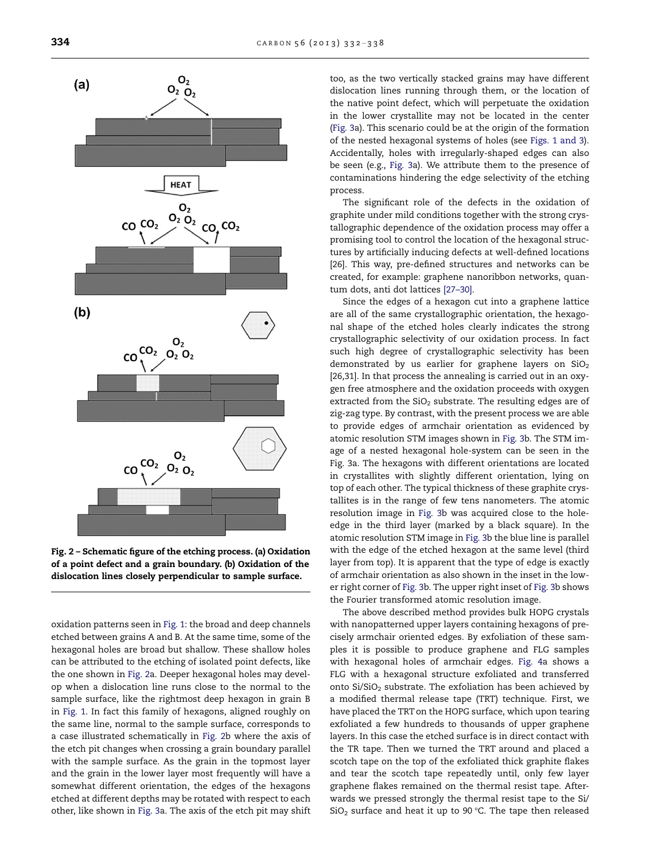<span id="page-2-0"></span> $(a)$ 



Fig. 2 – Schematic figure of the etching process. (a) Oxidation of a point defect and a grain boundary. (b) Oxidation of the dislocation lines closely perpendicular to sample surface.

oxidation patterns seen in [Fig. 1](#page-1-0): the broad and deep channels etched between grains A and B. At the same time, some of the hexagonal holes are broad but shallow. These shallow holes can be attributed to the etching of isolated point defects, like the one shown in Fig. 2a. Deeper hexagonal holes may develop when a dislocation line runs close to the normal to the sample surface, like the rightmost deep hexagon in grain B in [Fig. 1.](#page-1-0) In fact this family of hexagons, aligned roughly on the same line, normal to the sample surface, corresponds to a case illustrated schematically in Fig. 2b where the axis of the etch pit changes when crossing a grain boundary parallel with the sample surface. As the grain in the topmost layer and the grain in the lower layer most frequently will have a somewhat different orientation, the edges of the hexagons etched at different depths may be rotated with respect to each other, like shown in [Fig. 3a](#page-3-0). The axis of the etch pit may shift

too, as the two vertically stacked grains may have different dislocation lines running through them, or the location of the native point defect, which will perpetuate the oxidation in the lower crystallite may not be located in the center ([Fig. 3a](#page-3-0)). This scenario could be at the origin of the formation of the nested hexagonal systems of holes (see [Figs. 1 and 3\)](#page-1-0). Accidentally, holes with irregularly-shaped edges can also be seen (e.g., [Fig. 3a](#page-3-0)). We attribute them to the presence of contaminations hindering the edge selectivity of the etching process.

The significant role of the defects in the oxidation of graphite under mild conditions together with the strong crystallographic dependence of the oxidation process may offer a promising tool to control the location of the hexagonal structures by artificially inducing defects at well-defined locations [\[26\]](#page-6-0). This way, pre-defined structures and networks can be created, for example: graphene nanoribbon networks, quantum dots, anti dot lattices [\[27–30\]](#page-6-0).

Since the edges of a hexagon cut into a graphene lattice are all of the same crystallographic orientation, the hexagonal shape of the etched holes clearly indicates the strong crystallographic selectivity of our oxidation process. In fact such high degree of crystallographic selectivity has been demonstrated by us earlier for graphene layers on  $SiO<sub>2</sub>$ [\[26,31\]](#page-6-0). In that process the annealing is carried out in an oxygen free atmosphere and the oxidation proceeds with oxygen extracted from the  $SiO<sub>2</sub>$  substrate. The resulting edges are of zig-zag type. By contrast, with the present process we are able to provide edges of armchair orientation as evidenced by atomic resolution STM images shown in [Fig. 3b](#page-3-0). The STM image of a nested hexagonal hole-system can be seen in the [Fig. 3a](#page-3-0). The hexagons with different orientations are located in crystallites with slightly different orientation, lying on top of each other. The typical thickness of these graphite crystallites is in the range of few tens nanometers. The atomic resolution image in [Fig. 3b](#page-3-0) was acquired close to the holeedge in the third layer (marked by a black square). In the atomic resolution STM image in [Fig. 3](#page-3-0)b the blue line is parallel with the edge of the etched hexagon at the same level (third layer from top). It is apparent that the type of edge is exactly of armchair orientation as also shown in the inset in the lower right corner of [Fig. 3b](#page-3-0). The upper right inset of [Fig. 3](#page-3-0)b shows the Fourier transformed atomic resolution image.

The above described method provides bulk HOPG crystals with nanopatterned upper layers containing hexagons of precisely armchair oriented edges. By exfoliation of these samples it is possible to produce graphene and FLG samples with hexagonal holes of armchair edges. [Fig. 4](#page-3-0)a shows a FLG with a hexagonal structure exfoliated and transferred onto  $Si/SiO<sub>2</sub>$  substrate. The exfoliation has been achieved by a modified thermal release tape (TRT) technique. First, we have placed the TRT on the HOPG surface, which upon tearing exfoliated a few hundreds to thousands of upper graphene layers. In this case the etched surface is in direct contact with the TR tape. Then we turned the TRT around and placed a scotch tape on the top of the exfoliated thick graphite flakes and tear the scotch tape repeatedly until, only few layer graphene flakes remained on the thermal resist tape. Afterwards we pressed strongly the thermal resist tape to the Si/  $SiO<sub>2</sub>$  surface and heat it up to 90 °C. The tape then released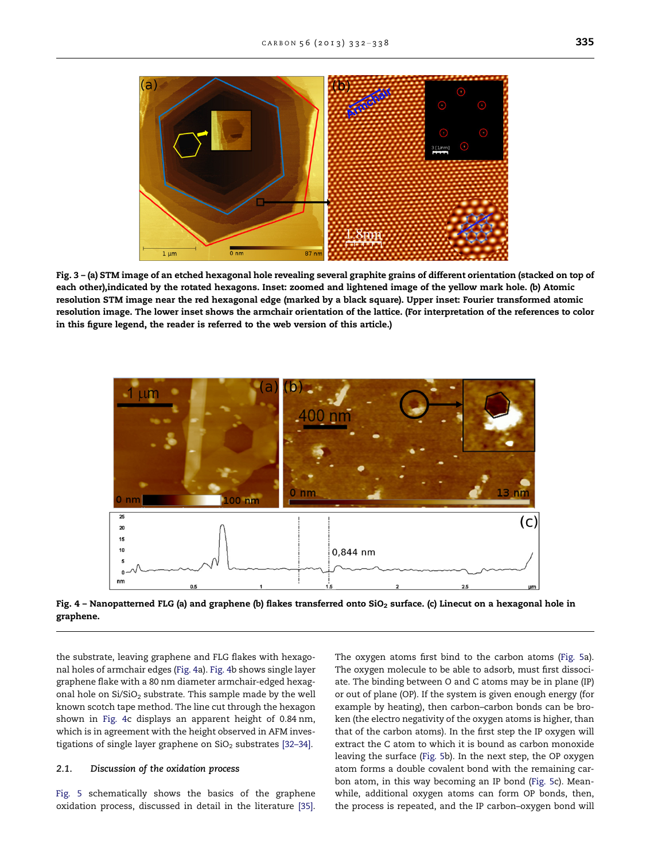<span id="page-3-0"></span>

Fig. 3 – (a) STM image of an etched hexagonal hole revealing several graphite grains of different orientation (stacked on top of each other),indicated by the rotated hexagons. Inset: zoomed and lightened image of the yellow mark hole. (b) Atomic resolution STM image near the red hexagonal edge (marked by a black square). Upper inset: Fourier transformed atomic resolution image. The lower inset shows the armchair orientation of the lattice. (For interpretation of the references to color in this figure legend, the reader is referred to the web version of this article.)



Fig. 4 - Nanopatterned FLG (a) and graphene (b) flakes transferred onto SiO<sub>2</sub> surface. (c) Linecut on a hexagonal hole in graphene.

the substrate, leaving graphene and FLG flakes with hexagonal holes of armchair edges (Fig. 4a). Fig. 4b shows single layer graphene flake with a 80 nm diameter armchair-edged hexagonal hole on  $Si/SiO<sub>2</sub>$  substrate. This sample made by the well known scotch tape method. The line cut through the hexagon shown in Fig. 4c displays an apparent height of 0.84 nm, which is in agreement with the height observed in AFM investigations of single layer graphene on  $SiO<sub>2</sub>$  substrates [32-34].

# 2.1. Discussion of the oxidation process

[Fig. 5](#page-4-0) schematically shows the basics of the graphene oxidation process, discussed in detail in the literature [\[35\].](#page-6-0) The oxygen atoms first bind to the carbon atoms [\(Fig. 5a](#page-4-0)). The oxygen molecule to be able to adsorb, must first dissociate. The binding between O and C atoms may be in plane (IP) or out of plane (OP). If the system is given enough energy (for example by heating), then carbon–carbon bonds can be broken (the electro negativity of the oxygen atoms is higher, than that of the carbon atoms). In the first step the IP oxygen will extract the C atom to which it is bound as carbon monoxide leaving the surface [\(Fig. 5](#page-4-0)b). In the next step, the OP oxygen atom forms a double covalent bond with the remaining carbon atom, in this way becoming an IP bond [\(Fig. 5](#page-4-0)c). Meanwhile, additional oxygen atoms can form OP bonds, then, the process is repeated, and the IP carbon–oxygen bond will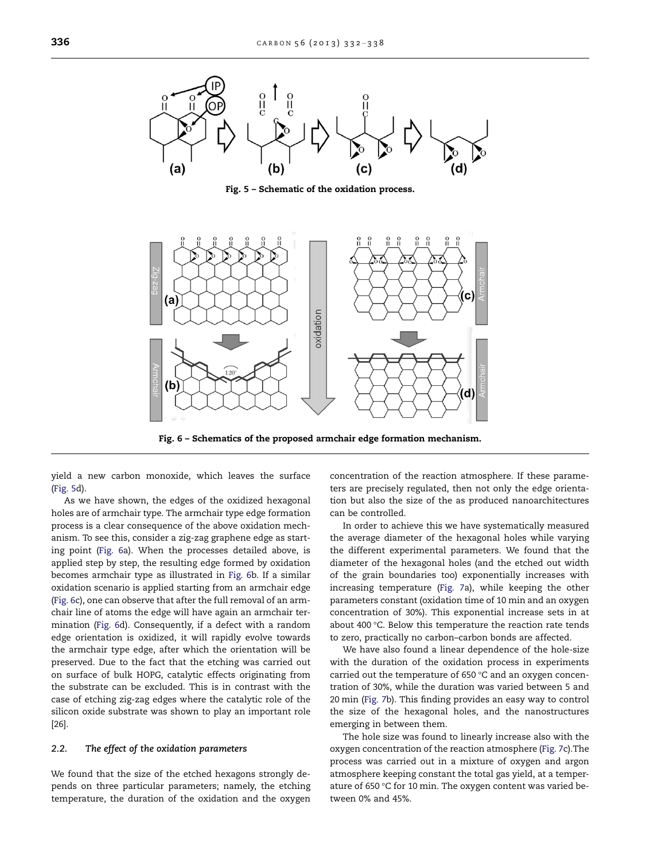<span id="page-4-0"></span>

Fig. 5 – Schematic of the oxidation process.



Fig. 6 – Schematics of the proposed armchair edge formation mechanism.

yield a new carbon monoxide, which leaves the surface (Fig. 5d).

As we have shown, the edges of the oxidized hexagonal holes are of armchair type. The armchair type edge formation process is a clear consequence of the above oxidation mechanism. To see this, consider a zig-zag graphene edge as starting point (Fig. 6a). When the processes detailed above, is applied step by step, the resulting edge formed by oxidation becomes armchair type as illustrated in Fig. 6b. If a similar oxidation scenario is applied starting from an armchair edge (Fig. 6c), one can observe that after the full removal of an armchair line of atoms the edge will have again an armchair termination (Fig. 6d). Consequently, if a defect with a random edge orientation is oxidized, it will rapidly evolve towards the armchair type edge, after which the orientation will be preserved. Due to the fact that the etching was carried out on surface of bulk HOPG, catalytic effects originating from the substrate can be excluded. This is in contrast with the case of etching zig-zag edges where the catalytic role of the silicon oxide substrate was shown to play an important role [\[26\]](#page-6-0).

### 2.2. The effect of the oxidation parameters

We found that the size of the etched hexagons strongly depends on three particular parameters; namely, the etching temperature, the duration of the oxidation and the oxygen concentration of the reaction atmosphere. If these parameters are precisely regulated, then not only the edge orientation but also the size of the as produced nanoarchitectures can be controlled.

In order to achieve this we have systematically measured the average diameter of the hexagonal holes while varying the different experimental parameters. We found that the diameter of the hexagonal holes (and the etched out width of the grain boundaries too) exponentially increases with increasing temperature ([Fig. 7](#page-5-0)a), while keeping the other parameters constant (oxidation time of 10 min and an oxygen concentration of 30%). This exponential increase sets in at about 400 °C. Below this temperature the reaction rate tends to zero, practically no carbon–carbon bonds are affected.

We have also found a linear dependence of the hole-size with the duration of the oxidation process in experiments carried out the temperature of 650  $°C$  and an oxygen concentration of 30%, while the duration was varied between 5 and 20 min ([Fig. 7](#page-5-0)b). This finding provides an easy way to control the size of the hexagonal holes, and the nanostructures emerging in between them.

The hole size was found to linearly increase also with the oxygen concentration of the reaction atmosphere ([Fig. 7c](#page-5-0)).The process was carried out in a mixture of oxygen and argon atmosphere keeping constant the total gas yield, at a temperature of 650 °C for 10 min. The oxygen content was varied between 0% and 45%.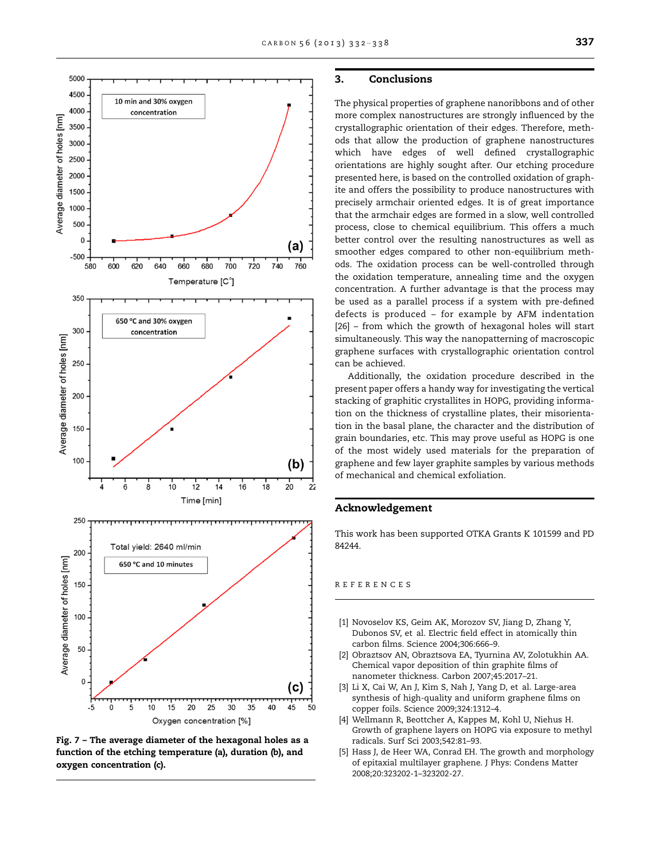<span id="page-5-0"></span>

Fig. 7 – The average diameter of the hexagonal holes as a function of the etching temperature (a), duration (b), and oxygen concentration (c).

# 3. Conclusions

The physical properties of graphene nanoribbons and of other more complex nanostructures are strongly influenced by the crystallographic orientation of their edges. Therefore, methods that allow the production of graphene nanostructures which have edges of well defined crystallographic orientations are highly sought after. Our etching procedure presented here, is based on the controlled oxidation of graphite and offers the possibility to produce nanostructures with precisely armchair oriented edges. It is of great importance that the armchair edges are formed in a slow, well controlled process, close to chemical equilibrium. This offers a much better control over the resulting nanostructures as well as smoother edges compared to other non-equilibrium methods. The oxidation process can be well-controlled through the oxidation temperature, annealing time and the oxygen concentration. A further advantage is that the process may be used as a parallel process if a system with pre-defined defects is produced – for example by AFM indentation [\[26\]](#page-6-0) – from which the growth of hexagonal holes will start simultaneously. This way the nanopatterning of macroscopic graphene surfaces with crystallographic orientation control can be achieved.

Additionally, the oxidation procedure described in the present paper offers a handy way for investigating the vertical stacking of graphitic crystallites in HOPG, providing information on the thickness of crystalline plates, their misorientation in the basal plane, the character and the distribution of grain boundaries, etc. This may prove useful as HOPG is one of the most widely used materials for the preparation of graphene and few layer graphite samples by various methods of mechanical and chemical exfoliation.

# Acknowledgement

This work has been supported OTKA Grants K 101599 and PD 84244.

# REFERENCES

- [1] Novoselov KS, Geim AK, Morozov SV, Jiang D, Zhang Y, Dubonos SV, et al. Electric field effect in atomically thin carbon films. Science 2004;306:666–9.
- [2] Obraztsov AN, Obraztsova EA, Tyurnina AV, Zolotukhin AA. Chemical vapor deposition of thin graphite films of nanometer thickness. Carbon 2007;45:2017–21.
- Li X, Cai W, An J, Kim S, Nah J, Yang D, et al. Large-area synthesis of high-quality and uniform graphene films on copper foils. Science 2009;324:1312–4.
- [4] Wellmann R, Beottcher A, Kappes M, Kohl U, Niehus H. Growth of graphene layers on HOPG via exposure to methyl radicals. Surf Sci 2003;542:81–93.
- [5] Hass J, de Heer WA, Conrad EH. The growth and morphology of epitaxial multilayer graphene. J Phys: Condens Matter 2008;20:323202-1–323202-27.